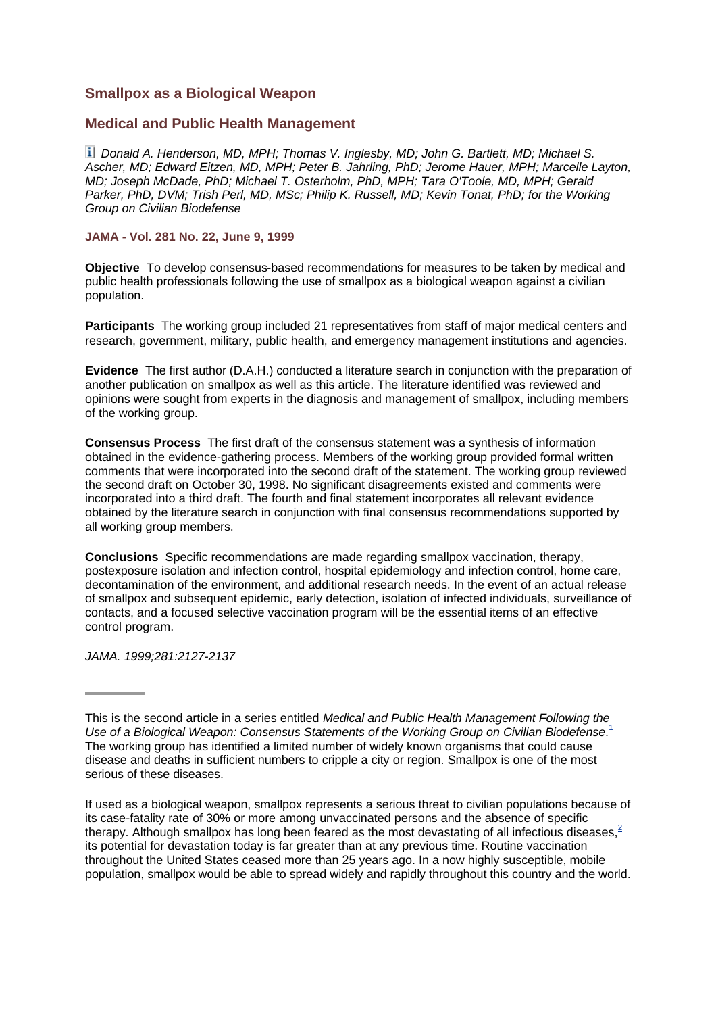# **Smallpox as a Biological Weapon**

### **Medical and Public Health Management**

 *Donald A. Henderson, MD, MPH; Thomas V. Inglesby, MD; John G. Bartlett, MD; Michael S. Ascher, MD; Edward Eitzen, MD, MPH; Peter B. Jahrling, PhD; Jerome Hauer, MPH; Marcelle Layton, MD; Joseph McDade, PhD; Michael T. Osterholm, PhD, MPH; Tara O'Toole, MD, MPH; Gerald Parker, PhD, DVM; Trish Perl, MD, MSc; Philip K. Russell, MD; Kevin Tonat, PhD; for the Working Group on Civilian Biodefense*

#### **JAMA - Vol. 281 No. 22, June 9, 1999**

**Objective** To develop consensus-based recommendations for measures to be taken by medical and public health professionals following the use of smallpox as a biological weapon against a civilian population.

**Participants** The working group included 21 representatives from staff of major medical centers and research, government, military, public health, and emergency management institutions and agencies.

**Evidence** The first author (D.A.H.) conducted a literature search in conjunction with the preparation of another publication on smallpox as well as this article. The literature identified was reviewed and opinions were sought from experts in the diagnosis and management of smallpox, including members of the working group.

**Consensus Process** The first draft of the consensus statement was a synthesis of information obtained in the evidence-gathering process. Members of the working group provided formal written comments that were incorporated into the second draft of the statement. The working group reviewed the second draft on October 30, 1998. No significant disagreements existed and comments were incorporated into a third draft. The fourth and final statement incorporates all relevant evidence obtained by the literature search in conjunction with final consensus recommendations supported by all working group members.

**Conclusions** Specific recommendations are made regarding smallpox vaccination, therapy, postexposure isolation and infection control, hospital epidemiology and infection control, home care, decontamination of the environment, and additional research needs. In the event of an actual release of smallpox and subsequent epidemic, early detection, isolation of infected individuals, surveillance of contacts, and a focused selective vaccination program will be the essential items of an effective control program.

*JAMA. 1999;281:2127-2137*

This is the second article in a series entitled *Medical and Public Health Management Following the*  Use of a Biological Weapon: Consensus Statements of the Working Group on Civilian Biodefense.<sup>1</sup> The working group has identified a limited number of widely known organisms that could cause disease and deaths in sufficient numbers to cripple a city or region. Smallpox is one of the most serious of these diseases.

If used as a biological weapon, smallpox represents a serious threat to civilian populations because of its case-fatality rate of 30% or more among unvaccinated persons and the absence of specific therapy. Although smallpox has long been feared as the most devastating of all infectious diseases,  $\frac{2}{3}$ its potential for devastation today is far greater than at any previous time. Routine vaccination throughout the United States ceased more than 25 years ago. In a now highly susceptible, mobile population, smallpox would be able to spread widely and rapidly throughout this country and the world.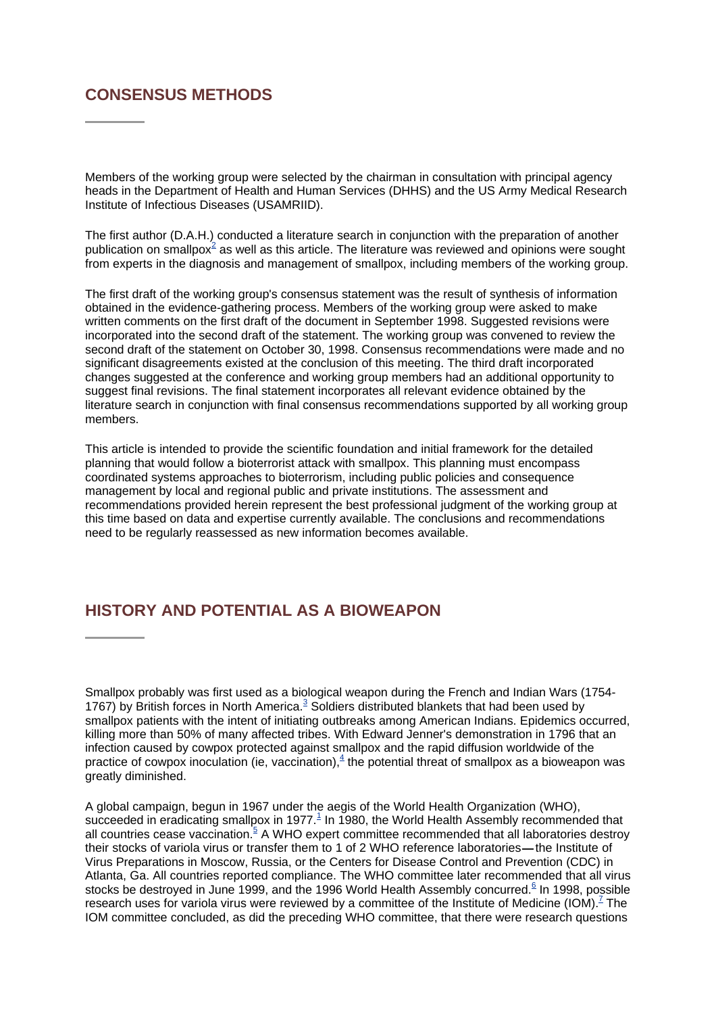# **CONSENSUS METHODS**

Members of the working group were selected by the chairman in consultation with principal agency heads in the Department of Health and Human Services (DHHS) and the US Army Medical Research Institute of Infectious Diseases (USAMRIID).

The first author (D.A.H.) conducted a literature search in conjunction with the preparation of another publication on smallpox<sup>2</sup> as well as this article. The literature was reviewed and opinions were sought from experts in the diagnosis and management of smallpox, including members of the working group.

The first draft of the working group's consensus statement was the result of synthesis of information obtained in the evidence-gathering process. Members of the working group were asked to make written comments on the first draft of the document in September 1998. Suggested revisions were incorporated into the second draft of the statement. The working group was convened to review the second draft of the statement on October 30, 1998. Consensus recommendations were made and no significant disagreements existed at the conclusion of this meeting. The third draft incorporated changes suggested at the conference and working group members had an additional opportunity to suggest final revisions. The final statement incorporates all relevant evidence obtained by the literature search in conjunction with final consensus recommendations supported by all working group members.

This article is intended to provide the scientific foundation and initial framework for the detailed planning that would follow a bioterrorist attack with smallpox. This planning must encompass coordinated systems approaches to bioterrorism, including public policies and consequence management by local and regional public and private institutions. The assessment and recommendations provided herein represent the best professional judgment of the working group at this time based on data and expertise currently available. The conclusions and recommendations need to be regularly reassessed as new information becomes available.

# **HISTORY AND POTENTIAL AS A BIOWEAPON**

Smallpox probably was first used as a biological weapon during the French and Indian Wars (1754- 1767) by British forces in North America.<sup>3</sup> Soldiers distributed blankets that had been used by smallpox patients with the intent of initiating outbreaks among American Indians. Epidemics occurred, killing more than 50% of many affected tribes. With Edward Jenner's demonstration in 1796 that an infection caused by cowpox protected against smallpox and the rapid diffusion worldwide of the practice of cowpox inoculation (ie, vaccination), $4$  the potential threat of smallpox as a bioweapon was greatly diminished.

A global campaign, begun in 1967 under the aegis of the World Health Organization (WHO), succeeded in eradicating smallpox in 1977. $<sup>1</sup>$  In 1980, the World Health Assembly recommended that</sup> all countries cease vaccination.<sup>5</sup> A WHO expert committee recommended that all laboratories destroy their stocks of variola virus or transfer them to 1 of 2 WHO reference laboratories—the Institute of Virus Preparations in Moscow, Russia, or the Centers for Disease Control and Prevention (CDC) in Atlanta, Ga. All countries reported compliance. The WHO committee later recommended that all virus stocks be destroyed in June 1999, and the 1996 World Health Assembly concurred.<sup>6</sup> In 1998, possible research uses for variola virus were reviewed by a committee of the Institute of Medicine (IOM).<sup>7</sup> The IOM committee concluded, as did the preceding WHO committee, that there were research questions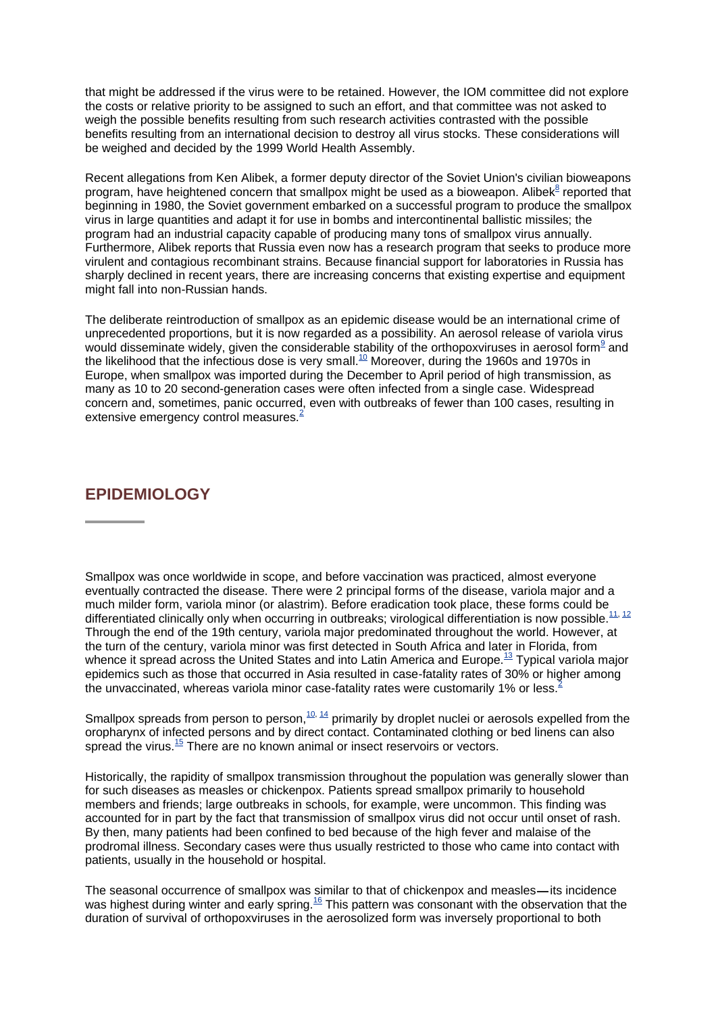that might be addressed if the virus were to be retained. However, the IOM committee did not explore the costs or relative priority to be assigned to such an effort, and that committee was not asked to weigh the possible benefits resulting from such research activities contrasted with the possible benefits resulting from an international decision to destroy all virus stocks. These considerations will be weighed and decided by the 1999 World Health Assembly.

Recent allegations from Ken Alibek, a former deputy director of the Soviet Union's civilian bioweapons program, have heightened concern that smallpox might be used as a bioweapon. Alibek<sup>8</sup> reported that beginning in 1980, the Soviet government embarked on a successful program to produce the smallpox virus in large quantities and adapt it for use in bombs and intercontinental ballistic missiles; the program had an industrial capacity capable of producing many tons of smallpox virus annually. Furthermore, Alibek reports that Russia even now has a research program that seeks to produce more virulent and contagious recombinant strains. Because financial support for laboratories in Russia has sharply declined in recent years, there are increasing concerns that existing expertise and equipment might fall into non-Russian hands.

The deliberate reintroduction of smallpox as an epidemic disease would be an international crime of unprecedented proportions, but it is now regarded as a possibility. An aerosol release of variola virus would disseminate widely, given the considerable stability of the orthopoxviruses in aerosol form<sup>9</sup> and the likelihood that the infectious dose is very small.<sup>10</sup> Moreover, during the 1960s and 1970s in Europe, when smallpox was imported during the December to April period of high transmission, as many as 10 to 20 second-generation cases were often infected from a single case. Widespread concern and, sometimes, panic occurred, even with outbreaks of fewer than 100 cases, resulting in extensive emergency control measures. $2$ 

# **EPIDEMIOLOGY**

Smallpox was once worldwide in scope, and before vaccination was practiced, almost everyone eventually contracted the disease. There were 2 principal forms of the disease, variola major and a much milder form, variola minor (or alastrim). Before eradication took place, these forms could be differentiated clinically only when occurring in outbreaks; virological differentiation is now possible.<sup>11, 12</sup> Through the end of the 19th century, variola major predominated throughout the world. However, at the turn of the century, variola minor was first detected in South Africa and later in Florida, from whence it spread across the United States and into Latin America and Europe.<sup>13</sup> Typical variola major epidemics such as those that occurred in Asia resulted in case-fatality rates of 30% or higher among the unvaccinated, whereas variola minor case-fatality rates were customarily 1% or less.<sup>2</sup>

Smallpox spreads from person to person,  $\frac{10}{14}$  primarily by droplet nuclei or aerosols expelled from the oropharynx of infected persons and by direct contact. Contaminated clothing or bed linens can also spread the virus. $15$  There are no known animal or insect reservoirs or vectors.

Historically, the rapidity of smallpox transmission throughout the population was generally slower than for such diseases as measles or chickenpox. Patients spread smallpox primarily to household members and friends; large outbreaks in schools, for example, were uncommon. This finding was accounted for in part by the fact that transmission of smallpox virus did not occur until onset of rash. By then, many patients had been confined to bed because of the high fever and malaise of the prodromal illness. Secondary cases were thus usually restricted to those who came into contact with patients, usually in the household or hospital.

The seasonal occurrence of smallpox was similar to that of chickenpox and measles—its incidence was highest during winter and early spring.<sup>16</sup> This pattern was consonant with the observation that the duration of survival of orthopoxviruses in the aerosolized form was inversely proportional to both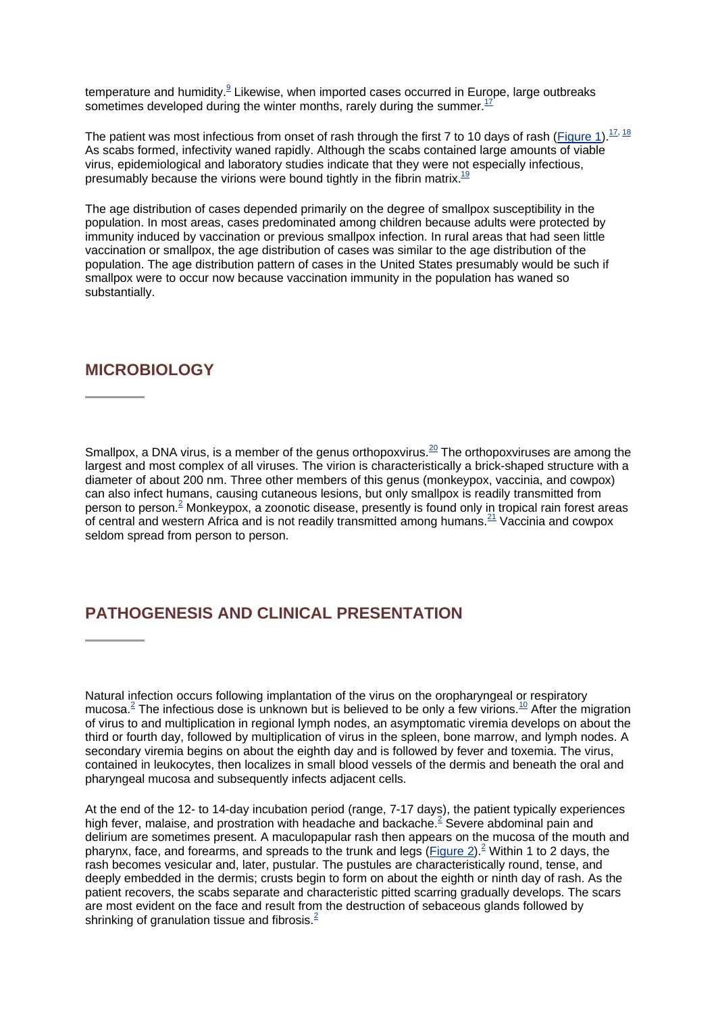temperature and humidity.<sup>9</sup> Likewise, when imported cases occurred in Europe, large outbreaks sometimes developed during the winter months, rarely during the summer.  $17$ 

The patient was most infectious from onset of rash through the first 7 to 10 days of rash (Figure 1).  $17.18$ As scabs formed, infectivity waned rapidly. Although the scabs contained large amounts of viable virus, epidemiological and laboratory studies indicate that they were not especially infectious, presumably because the virions were bound tightly in the fibrin matrix.<sup>19</sup>

The age distribution of cases depended primarily on the degree of smallpox susceptibility in the population. In most areas, cases predominated among children because adults were protected by immunity induced by vaccination or previous smallpox infection. In rural areas that had seen little vaccination or smallpox, the age distribution of cases was similar to the age distribution of the population. The age distribution pattern of cases in the United States presumably would be such if smallpox were to occur now because vaccination immunity in the population has waned so substantially.

# **MICROBIOLOGY**

Smallpox, a DNA virus, is a member of the genus orthopoxvirus.<sup>20</sup> The orthopoxviruses are among the largest and most complex of all viruses. The virion is characteristically a brick-shaped structure with a diameter of about 200 nm. Three other members of this genus (monkeypox, vaccinia, and cowpox) can also infect humans, causing cutaneous lesions, but only smallpox is readily transmitted from person to person.<sup>2</sup> Monkeypox, a zoonotic disease, presently is found only in tropical rain forest areas of central and western Africa and is not readily transmitted among humans.  $21$  Vaccinia and cowpox seldom spread from person to person.

# **PATHOGENESIS AND CLINICAL PRESENTATION**

Natural infection occurs following implantation of the virus on the oropharyngeal or respiratory mucosa.<sup>2</sup> The infectious dose is unknown but is believed to be only a few virions.<sup>10</sup> After the migration of virus to and multiplication in regional lymph nodes, an asymptomatic viremia develops on about the third or fourth day, followed by multiplication of virus in the spleen, bone marrow, and lymph nodes. A secondary viremia begins on about the eighth day and is followed by fever and toxemia. The virus, contained in leukocytes, then localizes in small blood vessels of the dermis and beneath the oral and pharyngeal mucosa and subsequently infects adjacent cells.

At the end of the 12- to 14-day incubation period (range, 7-17 days), the patient typically experiences high fever, malaise, and prostration with headache and backache.<sup>2</sup> Severe abdominal pain and delirium are sometimes present. A maculopapular rash then appears on the mucosa of the mouth and pharynx, face, and forearms, and spreads to the trunk and legs  $(Figure 2)^2$  Within 1 to 2 days, the rash becomes vesicular and, later, pustular. The pustules are characteristically round, tense, and deeply embedded in the dermis; crusts begin to form on about the eighth or ninth day of rash. As the patient recovers, the scabs separate and characteristic pitted scarring gradually develops. The scars are most evident on the face and result from the destruction of sebaceous glands followed by shrinking of granulation tissue and fibrosis. $2^2$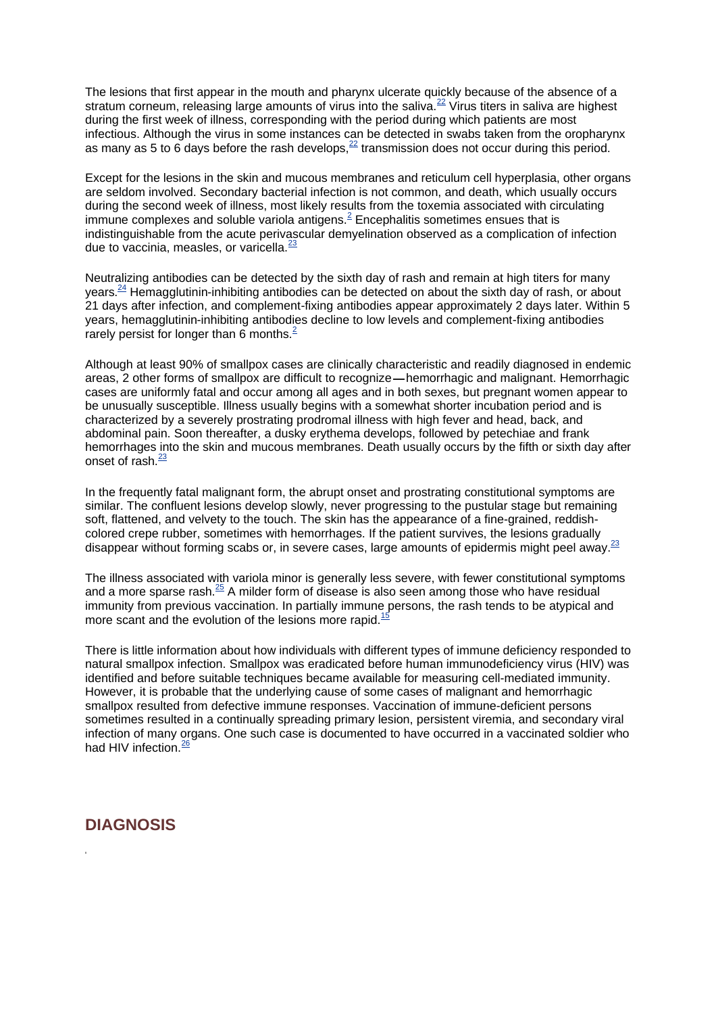The lesions that first appear in the mouth and pharynx ulcerate quickly because of the absence of a stratum corneum, releasing large amounts of virus into the saliva.<sup>22</sup> Virus titers in saliva are highest during the first week of illness, corresponding with the period during which patients are most infectious. Although the virus in some instances can be detected in swabs taken from the oropharynx as many as 5 to 6 days before the rash develops,  $^{22}$  transmission does not occur during this period.

Except for the lesions in the skin and mucous membranes and reticulum cell hyperplasia, other organs are seldom involved. Secondary bacterial infection is not common, and death, which usually occurs during the second week of illness, most likely results from the toxemia associated with circulating immune complexes and soluble variola antigens. ${}^{2}$  Encephalitis sometimes ensues that is indistinguishable from the acute perivascular demyelination observed as a complication of infection due to vaccinia, measles, or varicella. $\frac{23}{2}$ 

Neutralizing antibodies can be detected by the sixth day of rash and remain at high titers for many years.<sup>24</sup> Hemagglutinin-inhibiting antibodies can be detected on about the sixth day of rash, or about 21 days after infection, and complement-fixing antibodies appear approximately 2 days later. Within 5 years, hemagglutinin-inhibiting antibodies decline to low levels and complement-fixing antibodies rarely persist for longer than 6 months. $\frac{2}{3}$ 

Although at least 90% of smallpox cases are clinically characteristic and readily diagnosed in endemic areas, 2 other forms of smallpox are difficult to recognize hemorrhagic and malignant. Hemorrhagic cases are uniformly fatal and occur among all ages and in both sexes, but pregnant women appear to be unusually susceptible. Illness usually begins with a somewhat shorter incubation period and is characterized by a severely prostrating prodromal illness with high fever and head, back, and abdominal pain. Soon thereafter, a dusky erythema develops, followed by petechiae and frank hemorrhages into the skin and mucous membranes. Death usually occurs by the fifth or sixth day after onset of rash. $\frac{23}{2}$ 

In the frequently fatal malignant form, the abrupt onset and prostrating constitutional symptoms are similar. The confluent lesions develop slowly, never progressing to the pustular stage but remaining soft, flattened, and velvety to the touch. The skin has the appearance of a fine-grained, reddishcolored crepe rubber, sometimes with hemorrhages. If the patient survives, the lesions gradually disappear without forming scabs or, in severe cases, large amounts of epidermis might peel away. $23$ 

The illness associated with variola minor is generally less severe, with fewer constitutional symptoms and a more sparse rash. $^{25}$  A milder form of disease is also seen among those who have residual immunity from previous vaccination. In partially immune persons, the rash tends to be atypical and more scant and the evolution of the lesions more rapid. $15$ 

There is little information about how individuals with different types of immune deficiency responded to natural smallpox infection. Smallpox was eradicated before human immunodeficiency virus (HIV) was identified and before suitable techniques became available for measuring cell-mediated immunity. However, it is probable that the underlying cause of some cases of malignant and hemorrhagic smallpox resulted from defective immune responses. Vaccination of immune-deficient persons sometimes resulted in a continually spreading primary lesion, persistent viremia, and secondary viral infection of many organs. One such case is documented to have occurred in a vaccinated soldier who had HIV infection  $\frac{26}{ }$ 

# **DIAGNOSIS**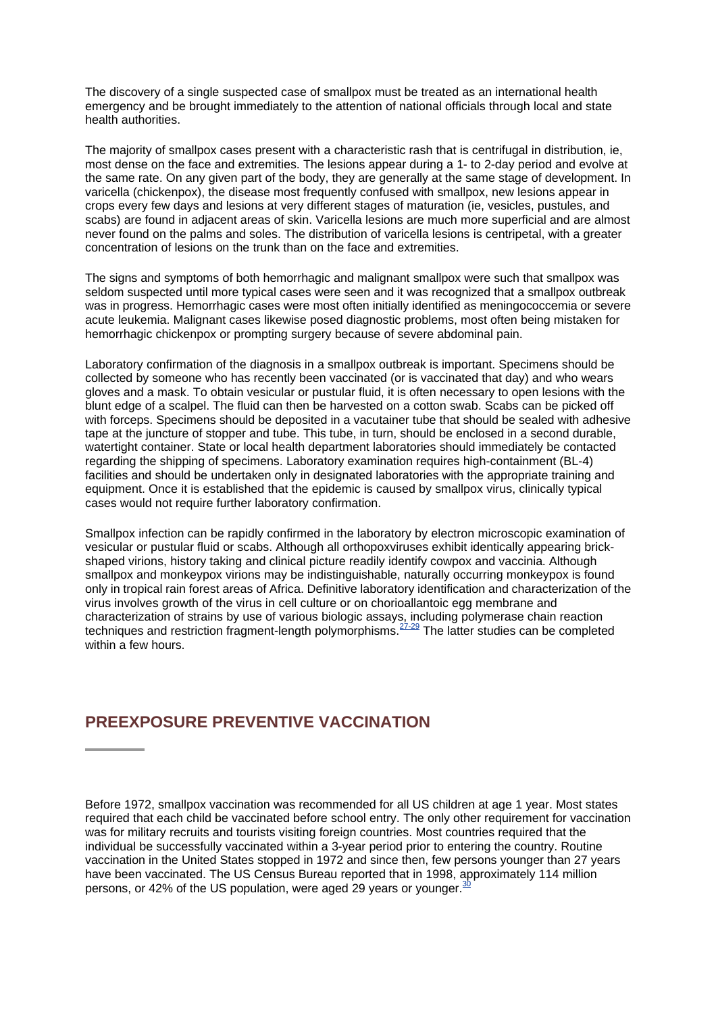The discovery of a single suspected case of smallpox must be treated as an international health emergency and be brought immediately to the attention of national officials through local and state health authorities.

The majority of smallpox cases present with a characteristic rash that is centrifugal in distribution, ie, most dense on the face and extremities. The lesions appear during a 1- to 2-day period and evolve at the same rate. On any given part of the body, they are generally at the same stage of development. In varicella (chickenpox), the disease most frequently confused with smallpox, new lesions appear in crops every few days and lesions at very different stages of maturation (ie, vesicles, pustules, and scabs) are found in adjacent areas of skin. Varicella lesions are much more superficial and are almost never found on the palms and soles. The distribution of varicella lesions is centripetal, with a greater concentration of lesions on the trunk than on the face and extremities.

The signs and symptoms of both hemorrhagic and malignant smallpox were such that smallpox was seldom suspected until more typical cases were seen and it was recognized that a smallpox outbreak was in progress. Hemorrhagic cases were most often initially identified as meningococcemia or severe acute leukemia. Malignant cases likewise posed diagnostic problems, most often being mistaken for hemorrhagic chickenpox or prompting surgery because of severe abdominal pain.

Laboratory confirmation of the diagnosis in a smallpox outbreak is important. Specimens should be collected by someone who has recently been vaccinated (or is vaccinated that day) and who wears gloves and a mask. To obtain vesicular or pustular fluid, it is often necessary to open lesions with the blunt edge of a scalpel. The fluid can then be harvested on a cotton swab. Scabs can be picked off with forceps. Specimens should be deposited in a vacutainer tube that should be sealed with adhesive tape at the juncture of stopper and tube. This tube, in turn, should be enclosed in a second durable, watertight container. State or local health department laboratories should immediately be contacted regarding the shipping of specimens. Laboratory examination requires high-containment (BL-4) facilities and should be undertaken only in designated laboratories with the appropriate training and equipment. Once it is established that the epidemic is caused by smallpox virus, clinically typical cases would not require further laboratory confirmation.

Smallpox infection can be rapidly confirmed in the laboratory by electron microscopic examination of vesicular or pustular fluid or scabs. Although all orthopoxviruses exhibit identically appearing brickshaped virions, history taking and clinical picture readily identify cowpox and vaccinia. Although smallpox and monkeypox virions may be indistinguishable, naturally occurring monkeypox is found only in tropical rain forest areas of Africa. Definitive laboratory identification and characterization of the virus involves growth of the virus in cell culture or on chorioallantoic egg membrane and characterization of strains by use of various biologic assays, including polymerase chain reaction techniques and restriction fragment-length polymorphisms.<sup>27-29</sup> The latter studies can be completed within a few hours.

# **PREEXPOSURE PREVENTIVE VACCINATION**

Before 1972, smallpox vaccination was recommended for all US children at age 1 year. Most states required that each child be vaccinated before school entry. The only other requirement for vaccination was for military recruits and tourists visiting foreign countries. Most countries required that the individual be successfully vaccinated within a 3-year period prior to entering the country. Routine vaccination in the United States stopped in 1972 and since then, few persons younger than 27 years have been vaccinated. The US Census Bureau reported that in 1998, approximately 114 million persons, or 42% of the US population, were aged 29 years or younger. $3$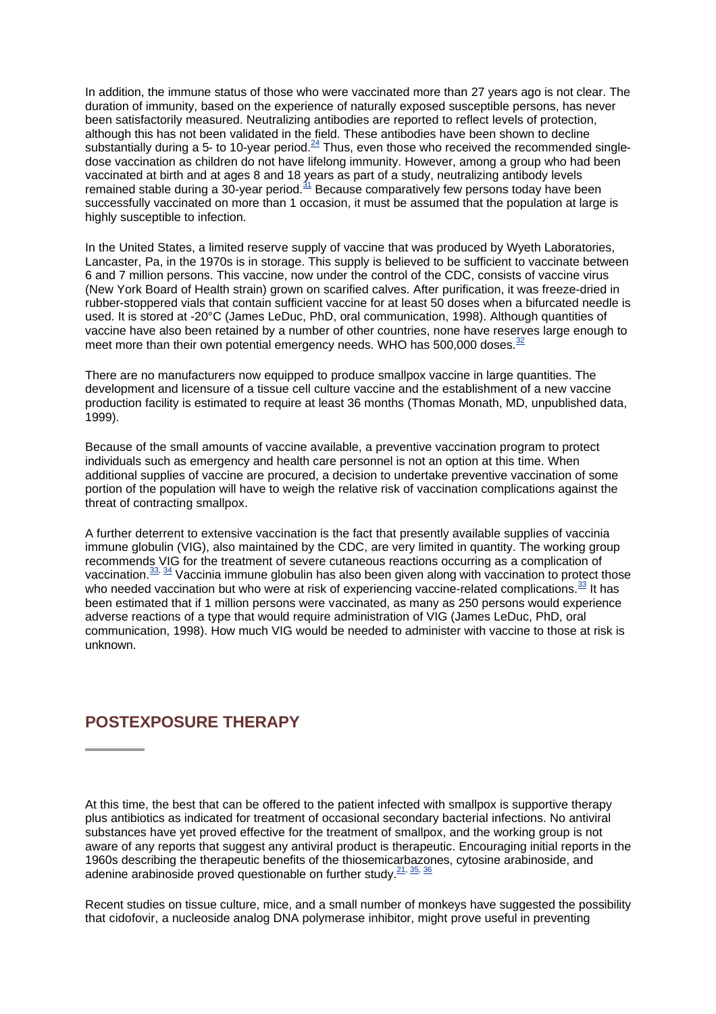In addition, the immune status of those who were vaccinated more than 27 years ago is not clear. The duration of immunity, based on the experience of naturally exposed susceptible persons, has never been satisfactorily measured. Neutralizing antibodies are reported to reflect levels of protection, although this has not been validated in the field. These antibodies have been shown to decline substantially during a 5- to 10-year period. $^{24}$  Thus, even those who received the recommended singledose vaccination as children do not have lifelong immunity. However, among a group who had been vaccinated at birth and at ages 8 and 18 years as part of a study, neutralizing antibody levels remained stable during a 30-year period. $31$  Because comparatively few persons today have been successfully vaccinated on more than 1 occasion, it must be assumed that the population at large is highly susceptible to infection.

In the United States, a limited reserve supply of vaccine that was produced by Wyeth Laboratories, Lancaster, Pa, in the 1970s is in storage. This supply is believed to be sufficient to vaccinate between 6 and 7 million persons. This vaccine, now under the control of the CDC, consists of vaccine virus (New York Board of Health strain) grown on scarified calves. After purification, it was freeze-dried in rubber-stoppered vials that contain sufficient vaccine for at least 50 doses when a bifurcated needle is used. It is stored at -20°C (James LeDuc, PhD, oral communication, 1998). Although quantities of vaccine have also been retained by a number of other countries, none have reserves large enough to meet more than their own potential emergency needs. WHO has 500,000 doses. $32$ 

There are no manufacturers now equipped to produce smallpox vaccine in large quantities. The development and licensure of a tissue cell culture vaccine and the establishment of a new vaccine production facility is estimated to require at least 36 months (Thomas Monath, MD, unpublished data, 1999).

Because of the small amounts of vaccine available, a preventive vaccination program to protect individuals such as emergency and health care personnel is not an option at this time. When additional supplies of vaccine are procured, a decision to undertake preventive vaccination of some portion of the population will have to weigh the relative risk of vaccination complications against the threat of contracting smallpox.

A further deterrent to extensive vaccination is the fact that presently available supplies of vaccinia immune globulin (VIG), also maintained by the CDC, are very limited in quantity. The working group recommends VIG for the treatment of severe cutaneous reactions occurring as a complication of vaccination.<sup>33, 34</sup> Vaccinia immune globulin has also been given along with vaccination to protect those who needed vaccination but who were at risk of experiencing vaccine-related complications.  $\frac{33}{2}$  It has been estimated that if 1 million persons were vaccinated, as many as 250 persons would experience adverse reactions of a type that would require administration of VIG (James LeDuc, PhD, oral communication, 1998). How much VIG would be needed to administer with vaccine to those at risk is unknown.

# **POSTEXPOSURE THERAPY**

At this time, the best that can be offered to the patient infected with smallpox is supportive therapy plus antibiotics as indicated for treatment of occasional secondary bacterial infections. No antiviral substances have yet proved effective for the treatment of smallpox, and the working group is not aware of any reports that suggest any antiviral product is therapeutic. Encouraging initial reports in the 1960s describing the therapeutic benefits of the thiosemicarbazones, cytosine arabinoside, and adenine arabinoside proved questionable on further study.  $21, 35, 36$ 

Recent studies on tissue culture, mice, and a small number of monkeys have suggested the possibility that cidofovir, a nucleoside analog DNA polymerase inhibitor, might prove useful in preventing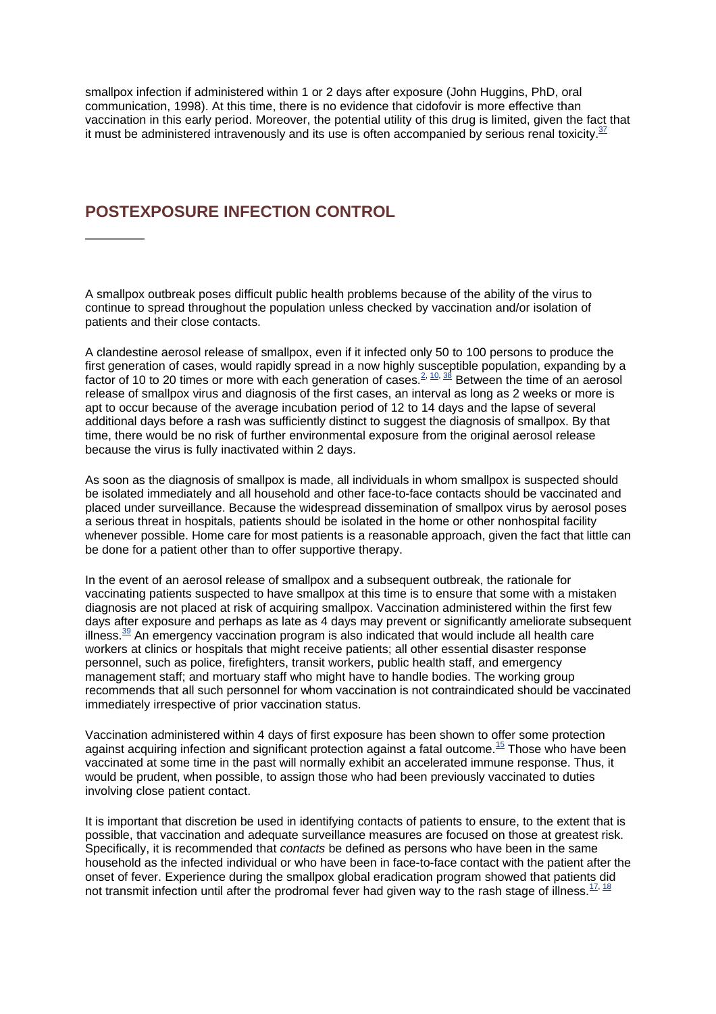smallpox infection if administered within 1 or 2 days after exposure (John Huggins, PhD, oral communication, 1998). At this time, there is no evidence that cidofovir is more effective than vaccination in this early period. Moreover, the potential utility of this drug is limited, given the fact that it must be administered intravenously and its use is often accompanied by serious renal toxicity.  $37$ 

# **POSTEXPOSURE INFECTION CONTROL**

A smallpox outbreak poses difficult public health problems because of the ability of the virus to continue to spread throughout the population unless checked by vaccination and/or isolation of patients and their close contacts.

A clandestine aerosol release of smallpox, even if it infected only 50 to 100 persons to produce the first generation of cases, would rapidly spread in a now highly susceptible population, expanding by a factor of 10 to 20 times or more with each generation of cases.<sup>2, 10, 38</sup> Between the time of an aerosol release of smallpox virus and diagnosis of the first cases, an interval as long as 2 weeks or more is apt to occur because of the average incubation period of 12 to 14 days and the lapse of several additional days before a rash was sufficiently distinct to suggest the diagnosis of smallpox. By that time, there would be no risk of further environmental exposure from the original aerosol release because the virus is fully inactivated within 2 days.

As soon as the diagnosis of smallpox is made, all individuals in whom smallpox is suspected should be isolated immediately and all household and other face-to-face contacts should be vaccinated and placed under surveillance. Because the widespread dissemination of smallpox virus by aerosol poses a serious threat in hospitals, patients should be isolated in the home or other nonhospital facility whenever possible. Home care for most patients is a reasonable approach, given the fact that little can be done for a patient other than to offer supportive therapy.

In the event of an aerosol release of smallpox and a subsequent outbreak, the rationale for vaccinating patients suspected to have smallpox at this time is to ensure that some with a mistaken diagnosis are not placed at risk of acquiring smallpox. Vaccination administered within the first few days after exposure and perhaps as late as 4 days may prevent or significantly ameliorate subsequent illness. $39$  An emergency vaccination program is also indicated that would include all health care workers at clinics or hospitals that might receive patients; all other essential disaster response personnel, such as police, firefighters, transit workers, public health staff, and emergency management staff; and mortuary staff who might have to handle bodies. The working group recommends that all such personnel for whom vaccination is not contraindicated should be vaccinated immediately irrespective of prior vaccination status.

Vaccination administered within 4 days of first exposure has been shown to offer some protection against acquiring infection and significant protection against a fatal outcome.<sup>15</sup> Those who have been vaccinated at some time in the past will normally exhibit an accelerated immune response. Thus, it would be prudent, when possible, to assign those who had been previously vaccinated to duties involving close patient contact.

It is important that discretion be used in identifying contacts of patients to ensure, to the extent that is possible, that vaccination and adequate surveillance measures are focused on those at greatest risk. Specifically, it is recommended that *contacts* be defined as persons who have been in the same household as the infected individual or who have been in face-to-face contact with the patient after the onset of fever. Experience during the smallpox global eradication program showed that patients did not transmit infection until after the prodromal fever had given way to the rash stage of illness.  $17, 18$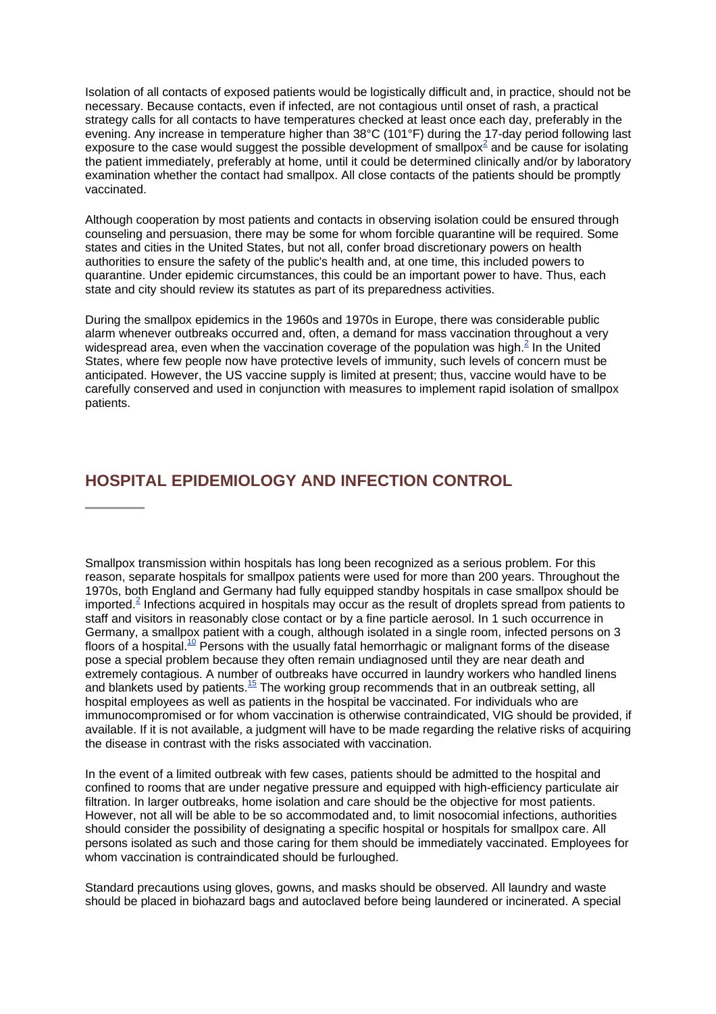Isolation of all contacts of exposed patients would be logistically difficult and, in practice, should not be necessary. Because contacts, even if infected, are not contagious until onset of rash, a practical strategy calls for all contacts to have temperatures checked at least once each day, preferably in the evening. Any increase in temperature higher than 38°C (101°F) during the 17-day period following last exposure to the case would suggest the possible development of smallpox $2$  and be cause for isolating the patient immediately, preferably at home, until it could be determined clinically and/or by laboratory examination whether the contact had smallpox. All close contacts of the patients should be promptly vaccinated.

Although cooperation by most patients and contacts in observing isolation could be ensured through counseling and persuasion, there may be some for whom forcible quarantine will be required. Some states and cities in the United States, but not all, confer broad discretionary powers on health authorities to ensure the safety of the public's health and, at one time, this included powers to quarantine. Under epidemic circumstances, this could be an important power to have. Thus, each state and city should review its statutes as part of its preparedness activities.

During the smallpox epidemics in the 1960s and 1970s in Europe, there was considerable public alarm whenever outbreaks occurred and, often, a demand for mass vaccination throughout a very widespread area, even when the vaccination coverage of the population was high.<sup>2</sup> In the United States, where few people now have protective levels of immunity, such levels of concern must be anticipated. However, the US vaccine supply is limited at present; thus, vaccine would have to be carefully conserved and used in conjunction with measures to implement rapid isolation of smallpox patients.

# **HOSPITAL EPIDEMIOLOGY AND INFECTION CONTROL**

Smallpox transmission within hospitals has long been recognized as a serious problem. For this reason, separate hospitals for smallpox patients were used for more than 200 years. Throughout the 1970s, both England and Germany had fully equipped standby hospitals in case smallpox should be imported. $2$  Infections acquired in hospitals may occur as the result of droplets spread from patients to staff and visitors in reasonably close contact or by a fine particle aerosol. In 1 such occurrence in Germany, a smallpox patient with a cough, although isolated in a single room, infected persons on 3 floors of a hospital.<sup>10</sup> Persons with the usually fatal hemorrhagic or malignant forms of the disease pose a special problem because they often remain undiagnosed until they are near death and extremely contagious. A number of outbreaks have occurred in laundry workers who handled linens and blankets used by patients.<sup>15</sup> The working group recommends that in an outbreak setting, all hospital employees as well as patients in the hospital be vaccinated. For individuals who are immunocompromised or for whom vaccination is otherwise contraindicated, VIG should be provided, if available. If it is not available, a judgment will have to be made regarding the relative risks of acquiring the disease in contrast with the risks associated with vaccination.

In the event of a limited outbreak with few cases, patients should be admitted to the hospital and confined to rooms that are under negative pressure and equipped with high-efficiency particulate air filtration. In larger outbreaks, home isolation and care should be the objective for most patients. However, not all will be able to be so accommodated and, to limit nosocomial infections, authorities should consider the possibility of designating a specific hospital or hospitals for smallpox care. All persons isolated as such and those caring for them should be immediately vaccinated. Employees for whom vaccination is contraindicated should be furloughed.

Standard precautions using gloves, gowns, and masks should be observed. All laundry and waste should be placed in biohazard bags and autoclaved before being laundered or incinerated. A special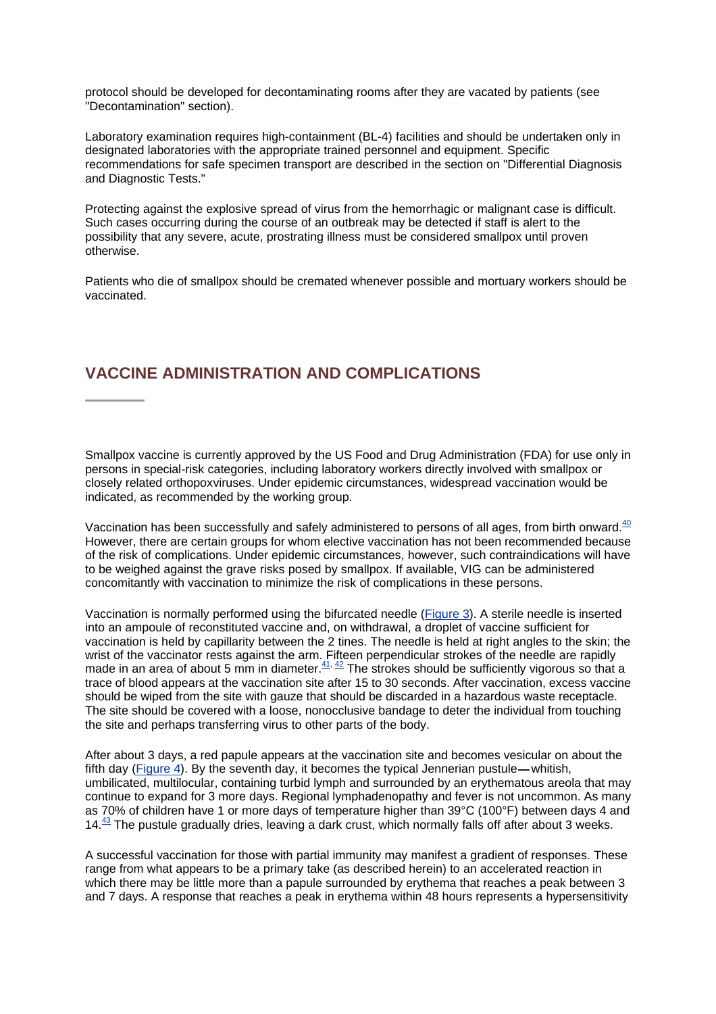protocol should be developed for decontaminating rooms after they are vacated by patients (see "Decontamination" section).

Laboratory examination requires high-containment (BL-4) facilities and should be undertaken only in designated laboratories with the appropriate trained personnel and equipment. Specific recommendations for safe specimen transport are described in the section on "Differential Diagnosis and Diagnostic Tests."

Protecting against the explosive spread of virus from the hemorrhagic or malignant case is difficult. Such cases occurring during the course of an outbreak may be detected if staff is alert to the possibility that any severe, acute, prostrating illness must be considered smallpox until proven otherwise.

Patients who die of smallpox should be cremated whenever possible and mortuary workers should be vaccinated.

# **VACCINE ADMINISTRATION AND COMPLICATIONS**

Smallpox vaccine is currently approved by the US Food and Drug Administration (FDA) for use only in persons in special-risk categories, including laboratory workers directly involved with smallpox or closely related orthopoxviruses. Under epidemic circumstances, widespread vaccination would be indicated, as recommended by the working group.

Vaccination has been successfully and safely administered to persons of all ages, from birth onward. $40$ However, there are certain groups for whom elective vaccination has not been recommended because of the risk of complications. Under epidemic circumstances, however, such contraindications will have to be weighed against the grave risks posed by smallpox. If available, VIG can be administered concomitantly with vaccination to minimize the risk of complications in these persons.

Vaccination is normally performed using the bifurcated needle (Figure 3). A sterile needle is inserted into an ampoule of reconstituted vaccine and, on withdrawal, a droplet of vaccine sufficient for vaccination is held by capillarity between the 2 tines. The needle is held at right angles to the skin; the wrist of the vaccinator rests against the arm. Fifteen perpendicular strokes of the needle are rapidly made in an area of about 5 mm in diameter. $\frac{41}{2}$  The strokes should be sufficiently vigorous so that a trace of blood appears at the vaccination site after 15 to 30 seconds. After vaccination, excess vaccine should be wiped from the site with gauze that should be discarded in a hazardous waste receptacle. The site should be covered with a loose, nonocclusive bandage to deter the individual from touching the site and perhaps transferring virus to other parts of the body.

After about 3 days, a red papule appears at the vaccination site and becomes vesicular on about the fifth day (Figure 4). By the seventh day, it becomes the typical Jennerian pustule—whitish, umbilicated, multilocular, containing turbid lymph and surrounded by an erythematous areola that may continue to expand for 3 more days. Regional lymphadenopathy and fever is not uncommon. As many as 70% of children have 1 or more days of temperature higher than 39°C (100°F) between days 4 and  $14<sup>43</sup>$  The pustule gradually dries, leaving a dark crust, which normally falls off after about 3 weeks.

A successful vaccination for those with partial immunity may manifest a gradient of responses. These range from what appears to be a primary take (as described herein) to an accelerated reaction in which there may be little more than a papule surrounded by erythema that reaches a peak between 3 and 7 days. A response that reaches a peak in erythema within 48 hours represents a hypersensitivity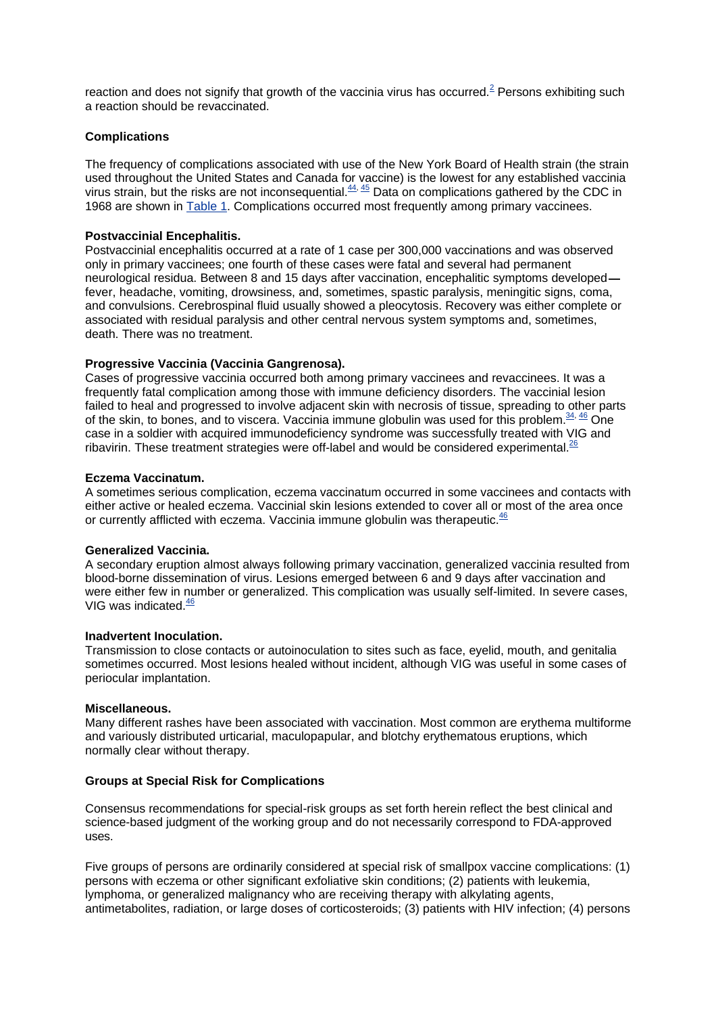reaction and does not signify that growth of the vaccinia virus has occurred.<sup>2</sup> Persons exhibiting such a reaction should be revaccinated.

#### **Complications**

The frequency of complications associated with use of the New York Board of Health strain (the strain used throughout the United States and Canada for vaccine) is the lowest for any established vaccinia virus strain, but the risks are not inconsequential.  $\frac{44}{5}$  Data on complications gathered by the CDC in 1968 are shown in Table 1. Complications occurred most frequently among primary vaccinees.

#### **Postvaccinial Encephalitis.**

Postvaccinial encephalitis occurred at a rate of 1 case per 300,000 vaccinations and was observed only in primary vaccinees; one fourth of these cases were fatal and several had permanent neurological residua. Between 8 and 15 days after vaccination, encephalitic symptoms developed fever, headache, vomiting, drowsiness, and, sometimes, spastic paralysis, meningitic signs, coma, and convulsions. Cerebrospinal fluid usually showed a pleocytosis. Recovery was either complete or associated with residual paralysis and other central nervous system symptoms and, sometimes, death. There was no treatment.

#### **Progressive Vaccinia (Vaccinia Gangrenosa).**

Cases of progressive vaccinia occurred both among primary vaccinees and revaccinees. It was a frequently fatal complication among those with immune deficiency disorders. The vaccinial lesion failed to heal and progressed to involve adiacent skin with necrosis of tissue, spreading to other parts of the skin, to bones, and to viscera. Vaccinia immune globulin was used for this problem. $34, 46$  One case in a soldier with acquired immunodeficiency syndrome was successfully treated with VIG and ribavirin. These treatment strategies were off-label and would be considered experimental.<sup>26</sup>

#### **Eczema Vaccinatum.**

A sometimes serious complication, eczema vaccinatum occurred in some vaccinees and contacts with either active or healed eczema. Vaccinial skin lesions extended to cover all or most of the area once or currently afflicted with eczema. Vaccinia immune globulin was therapeutic. $46$ 

#### **Generalized Vaccinia.**

A secondary eruption almost always following primary vaccination, generalized vaccinia resulted from blood-borne dissemination of virus. Lesions emerged between 6 and 9 days after vaccination and were either few in number or generalized. This complication was usually self-limited. In severe cases, VIG was indicated  $\frac{46}{5}$ 

#### **Inadvertent Inoculation.**

Transmission to close contacts or autoinoculation to sites such as face, eyelid, mouth, and genitalia sometimes occurred. Most lesions healed without incident, although VIG was useful in some cases of periocular implantation.

#### **Miscellaneous.**

Many different rashes have been associated with vaccination. Most common are erythema multiforme and variously distributed urticarial, maculopapular, and blotchy erythematous eruptions, which normally clear without therapy.

#### **Groups at Special Risk for Complications**

Consensus recommendations for special-risk groups as set forth herein reflect the best clinical and science-based judgment of the working group and do not necessarily correspond to FDA-approved uses.

Five groups of persons are ordinarily considered at special risk of smallpox vaccine complications: (1) persons with eczema or other significant exfoliative skin conditions; (2) patients with leukemia, lymphoma, or generalized malignancy who are receiving therapy with alkylating agents, antimetabolites, radiation, or large doses of corticosteroids; (3) patients with HIV infection; (4) persons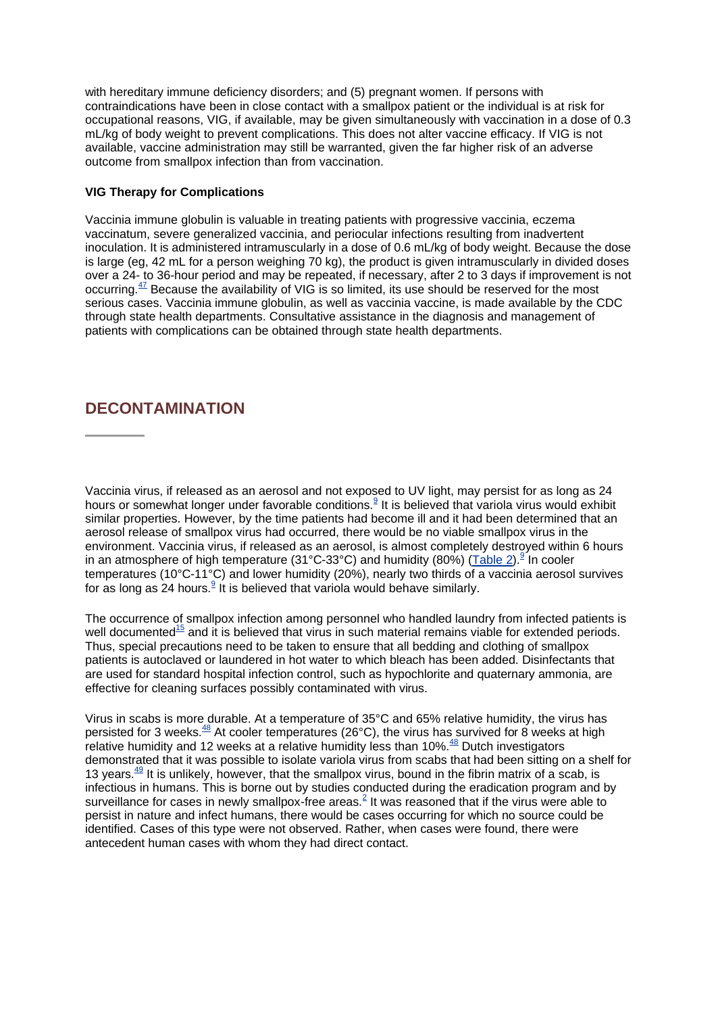with hereditary immune deficiency disorders; and (5) pregnant women. If persons with contraindications have been in close contact with a smallpox patient or the individual is at risk for occupational reasons, VIG, if available, may be given simultaneously with vaccination in a dose of 0.3 mL/kg of body weight to prevent complications. This does not alter vaccine efficacy. If VIG is not available, vaccine administration may still be warranted, given the far higher risk of an adverse outcome from smallpox infection than from vaccination.

#### **VIG Therapy for Complications**

Vaccinia immune globulin is valuable in treating patients with progressive vaccinia, eczema vaccinatum, severe generalized vaccinia, and periocular infections resulting from inadvertent inoculation. It is administered intramuscularly in a dose of 0.6 mL/kg of body weight. Because the dose is large (eg, 42 mL for a person weighing 70 kg), the product is given intramuscularly in divided doses over a 24- to 36-hour period and may be repeated, if necessary, after 2 to 3 days if improvement is not occurring.<sup>47</sup> Because the availability of VIG is so limited, its use should be reserved for the most serious cases. Vaccinia immune globulin, as well as vaccinia vaccine, is made available by the CDC through state health departments. Consultative assistance in the diagnosis and management of patients with complications can be obtained through state health departments.

# **DECONTAMINATION**

Vaccinia virus, if released as an aerosol and not exposed to UV light, may persist for as long as 24 hours or somewhat longer under favorable conditions. $9$  It is believed that variola virus would exhibit similar properties. However, by the time patients had become ill and it had been determined that an aerosol release of smallpox virus had occurred, there would be no viable smallpox virus in the environment. Vaccinia virus, if released as an aerosol, is almost completely destroyed within 6 hours in an atmosphere of high temperature (31°C-33°C) and humidity (80%) (Table 2).<sup>9</sup> In cooler temperatures (10°C-11°C) and lower humidity (20%), nearly two thirds of a vaccinia aerosol survives for as long as 24 hours. $9$  It is believed that variola would behave similarly.

The occurrence of smallpox infection among personnel who handled laundry from infected patients is well documented<sup>15</sup> and it is believed that virus in such material remains viable for extended periods. Thus, special precautions need to be taken to ensure that all bedding and clothing of smallpox patients is autoclaved or laundered in hot water to which bleach has been added. Disinfectants that are used for standard hospital infection control, such as hypochlorite and quaternary ammonia, are effective for cleaning surfaces possibly contaminated with virus.

Virus in scabs is more durable. At a temperature of 35°C and 65% relative humidity, the virus has persisted for 3 weeks. $48$  At cooler temperatures (26°C), the virus has survived for 8 weeks at high relative humidity and 12 weeks at a relative humidity less than 10%. $48$  Dutch investigators demonstrated that it was possible to isolate variola virus from scabs that had been sitting on a shelf for 13 years. $\frac{49}{2}$  It is unlikely, however, that the smallpox virus, bound in the fibrin matrix of a scab, is infectious in humans. This is borne out by studies conducted during the eradication program and by surveillance for cases in newly smallpox-free areas.<sup>2</sup> It was reasoned that if the virus were able to persist in nature and infect humans, there would be cases occurring for which no source could be identified. Cases of this type were not observed. Rather, when cases were found, there were antecedent human cases with whom they had direct contact.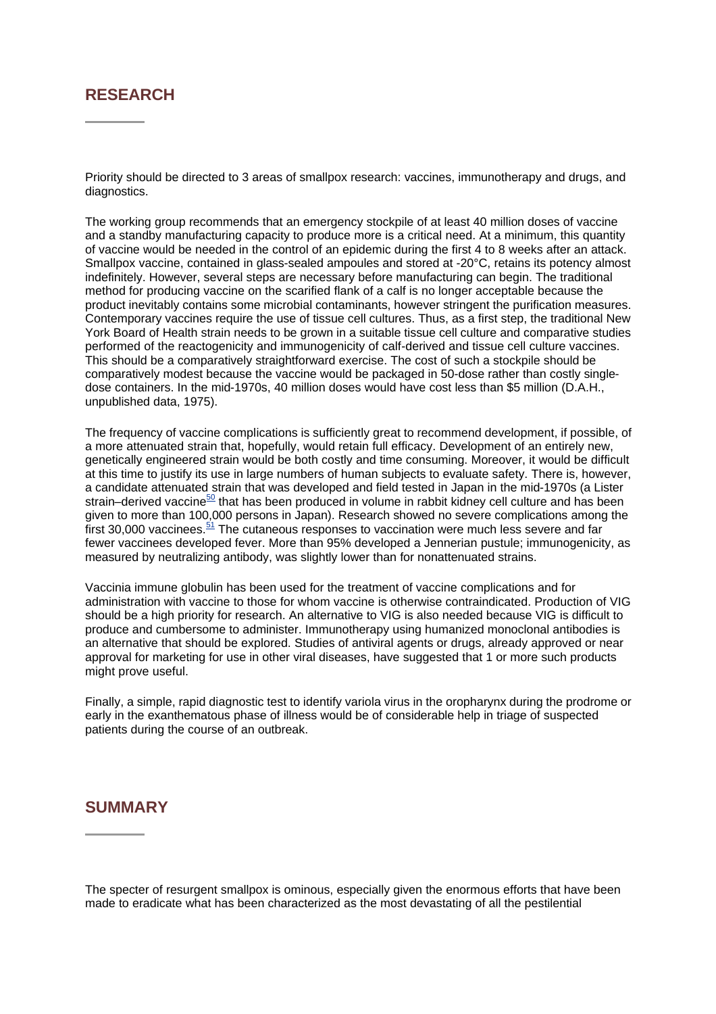# **RESEARCH**

Priority should be directed to 3 areas of smallpox research: vaccines, immunotherapy and drugs, and diagnostics.

The working group recommends that an emergency stockpile of at least 40 million doses of vaccine and a standby manufacturing capacity to produce more is a critical need. At a minimum, this quantity of vaccine would be needed in the control of an epidemic during the first 4 to 8 weeks after an attack. Smallpox vaccine, contained in glass-sealed ampoules and stored at -20°C, retains its potency almost indefinitely. However, several steps are necessary before manufacturing can begin. The traditional method for producing vaccine on the scarified flank of a calf is no longer acceptable because the product inevitably contains some microbial contaminants, however stringent the purification measures. Contemporary vaccines require the use of tissue cell cultures. Thus, as a first step, the traditional New York Board of Health strain needs to be grown in a suitable tissue cell culture and comparative studies performed of the reactogenicity and immunogenicity of calf-derived and tissue cell culture vaccines. This should be a comparatively straightforward exercise. The cost of such a stockpile should be comparatively modest because the vaccine would be packaged in 50-dose rather than costly singledose containers. In the mid-1970s, 40 million doses would have cost less than \$5 million (D.A.H., unpublished data, 1975).

The frequency of vaccine complications is sufficiently great to recommend development, if possible, of a more attenuated strain that, hopefully, would retain full efficacy. Development of an entirely new, genetically engineered strain would be both costly and time consuming. Moreover, it would be difficult at this time to justify its use in large numbers of human subjects to evaluate safety. There is, however, a candidate attenuated strain that was developed and field tested in Japan in the mid-1970s (a Lister strain–derived vaccine<sup>50</sup> that has been produced in volume in rabbit kidney cell culture and has been given to more than 100,000 persons in Japan). Research showed no severe complications among the first 30,000 vaccinees. $51$  The cutaneous responses to vaccination were much less severe and far fewer vaccinees developed fever. More than 95% developed a Jennerian pustule; immunogenicity, as measured by neutralizing antibody, was slightly lower than for nonattenuated strains.

Vaccinia immune globulin has been used for the treatment of vaccine complications and for administration with vaccine to those for whom vaccine is otherwise contraindicated. Production of VIG should be a high priority for research. An alternative to VIG is also needed because VIG is difficult to produce and cumbersome to administer. Immunotherapy using humanized monoclonal antibodies is an alternative that should be explored. Studies of antiviral agents or drugs, already approved or near approval for marketing for use in other viral diseases, have suggested that 1 or more such products might prove useful.

Finally, a simple, rapid diagnostic test to identify variola virus in the oropharynx during the prodrome or early in the exanthematous phase of illness would be of considerable help in triage of suspected patients during the course of an outbreak.

## **SUMMARY**

The specter of resurgent smallpox is ominous, especially given the enormous efforts that have been made to eradicate what has been characterized as the most devastating of all the pestilential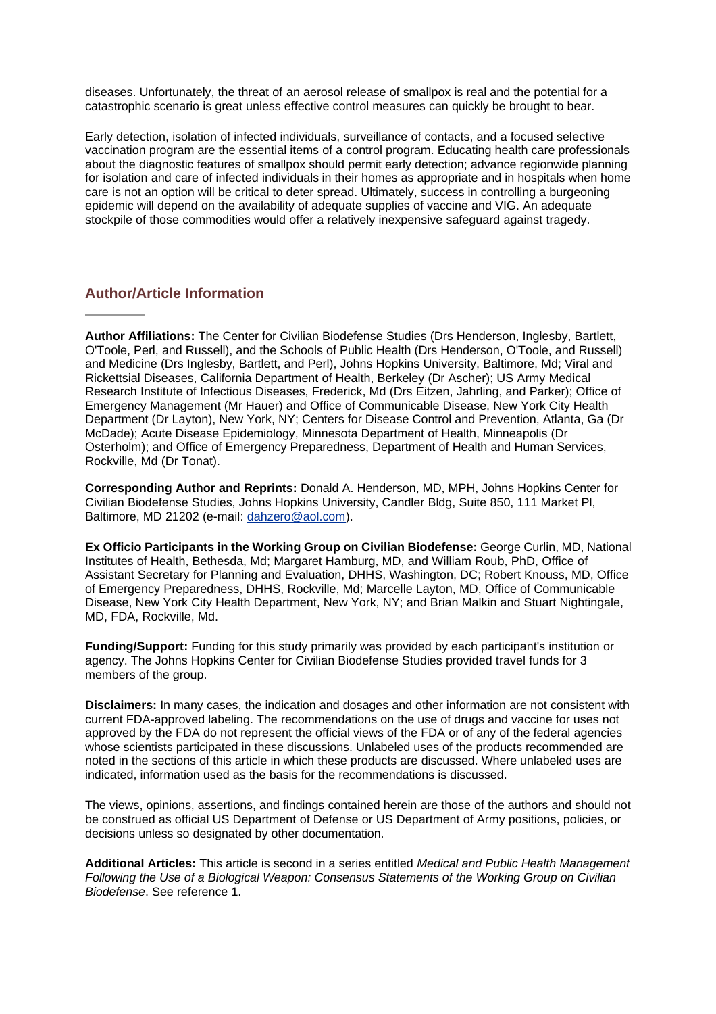diseases. Unfortunately, the threat of an aerosol release of smallpox is real and the potential for a catastrophic scenario is great unless effective control measures can quickly be brought to bear.

Early detection, isolation of infected individuals, surveillance of contacts, and a focused selective vaccination program are the essential items of a control program. Educating health care professionals about the diagnostic features of smallpox should permit early detection; advance regionwide planning for isolation and care of infected individuals in their homes as appropriate and in hospitals when home care is not an option will be critical to deter spread. Ultimately, success in controlling a burgeoning epidemic will depend on the availability of adequate supplies of vaccine and VIG. An adequate stockpile of those commodities would offer a relatively inexpensive safeguard against tragedy.

## **Author/Article Information**

**Author Affiliations:** The Center for Civilian Biodefense Studies (Drs Henderson, Inglesby, Bartlett, O'Toole, Perl, and Russell), and the Schools of Public Health (Drs Henderson, O'Toole, and Russell) and Medicine (Drs Inglesby, Bartlett, and Perl), Johns Hopkins University, Baltimore, Md; Viral and Rickettsial Diseases, California Department of Health, Berkeley (Dr Ascher); US Army Medical Research Institute of Infectious Diseases, Frederick, Md (Drs Eitzen, Jahrling, and Parker); Office of Emergency Management (Mr Hauer) and Office of Communicable Disease, New York City Health Department (Dr Layton), New York, NY; Centers for Disease Control and Prevention, Atlanta, Ga (Dr McDade); Acute Disease Epidemiology, Minnesota Department of Health, Minneapolis (Dr Osterholm); and Office of Emergency Preparedness, Department of Health and Human Services, Rockville, Md (Dr Tonat).

**Corresponding Author and Reprints:** Donald A. Henderson, MD, MPH, Johns Hopkins Center for Civilian Biodefense Studies, Johns Hopkins University, Candler Bldg, Suite 850, 111 Market Pl, Baltimore, MD 21202 (e-mail: dahzero@aol.com).

**Ex Officio Participants in the Working Group on Civilian Biodefense:** George Curlin, MD, National Institutes of Health, Bethesda, Md; Margaret Hamburg, MD, and William Roub, PhD, Office of Assistant Secretary for Planning and Evaluation, DHHS, Washington, DC; Robert Knouss, MD, Office of Emergency Preparedness, DHHS, Rockville, Md; Marcelle Layton, MD, Office of Communicable Disease, New York City Health Department, New York, NY; and Brian Malkin and Stuart Nightingale, MD, FDA, Rockville, Md.

**Funding/Support:** Funding for this study primarily was provided by each participant's institution or agency. The Johns Hopkins Center for Civilian Biodefense Studies provided travel funds for 3 members of the group.

**Disclaimers:** In many cases, the indication and dosages and other information are not consistent with current FDA-approved labeling. The recommendations on the use of drugs and vaccine for uses not approved by the FDA do not represent the official views of the FDA or of any of the federal agencies whose scientists participated in these discussions. Unlabeled uses of the products recommended are noted in the sections of this article in which these products are discussed. Where unlabeled uses are indicated, information used as the basis for the recommendations is discussed.

The views, opinions, assertions, and findings contained herein are those of the authors and should not be construed as official US Department of Defense or US Department of Army positions, policies, or decisions unless so designated by other documentation.

**Additional Articles:** This article is second in a series entitled *Medical and Public Health Management Following the Use of a Biological Weapon: Consensus Statements of the Working Group on Civilian Biodefense*. See reference 1.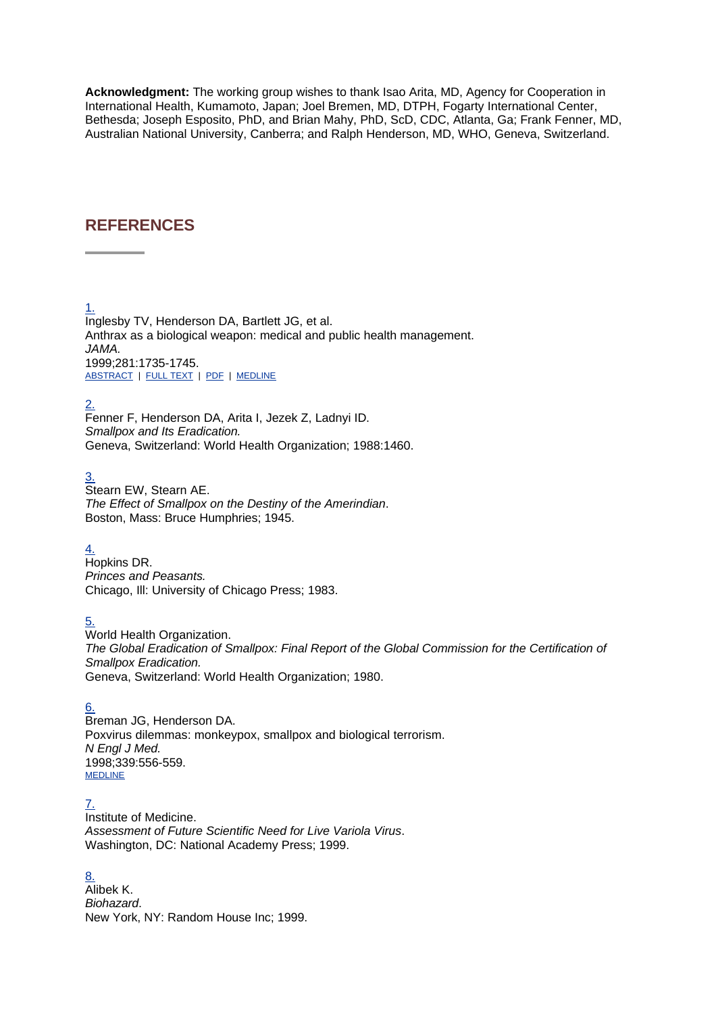**Acknowledgment:** The working group wishes to thank Isao Arita, MD, Agency for Cooperation in International Health, Kumamoto, Japan; Joel Bremen, MD, DTPH, Fogarty International Center, Bethesda; Joseph Esposito, PhD, and Brian Mahy, PhD, ScD, CDC, Atlanta, Ga; Frank Fenner, MD, Australian National University, Canberra; and Ralph Henderson, MD, WHO, Geneva, Switzerland.

# **REFERENCES**

1.

Inglesby TV, Henderson DA, Bartlett JG, et al. Anthrax as a biological weapon: medical and public health management. *JAMA.* 1999;281:1735-1745. ABSTRACT | FULL TEXT | PDF | MEDLINE

2.

Fenner F, Henderson DA, Arita I, Jezek Z, Ladnyi ID. *Smallpox and Its Eradication.* Geneva, Switzerland: World Health Organization; 1988:1460.

### 3.

Stearn EW, Stearn AE. *The Effect of Smallpox on the Destiny of the Amerindian*. Boston, Mass: Bruce Humphries; 1945.

# 4.

Hopkins DR. *Princes and Peasants.* Chicago, Ill: University of Chicago Press; 1983.

# 5.

World Health Organization. *The Global Eradication of Smallpox: Final Report of the Global Commission for the Certification of Smallpox Eradication.* Geneva, Switzerland: World Health Organization; 1980.

## 6.

Breman JG, Henderson DA. Poxvirus dilemmas: monkeypox, smallpox and biological terrorism. *N Engl J Med.* 1998;339:556-559. MEDLINE

# 7.

Institute of Medicine. *Assessment of Future Scientific Need for Live Variola Virus*. Washington, DC: National Academy Press; 1999.

## 8.

Alibek K. *Biohazard*. New York, NY: Random House Inc; 1999.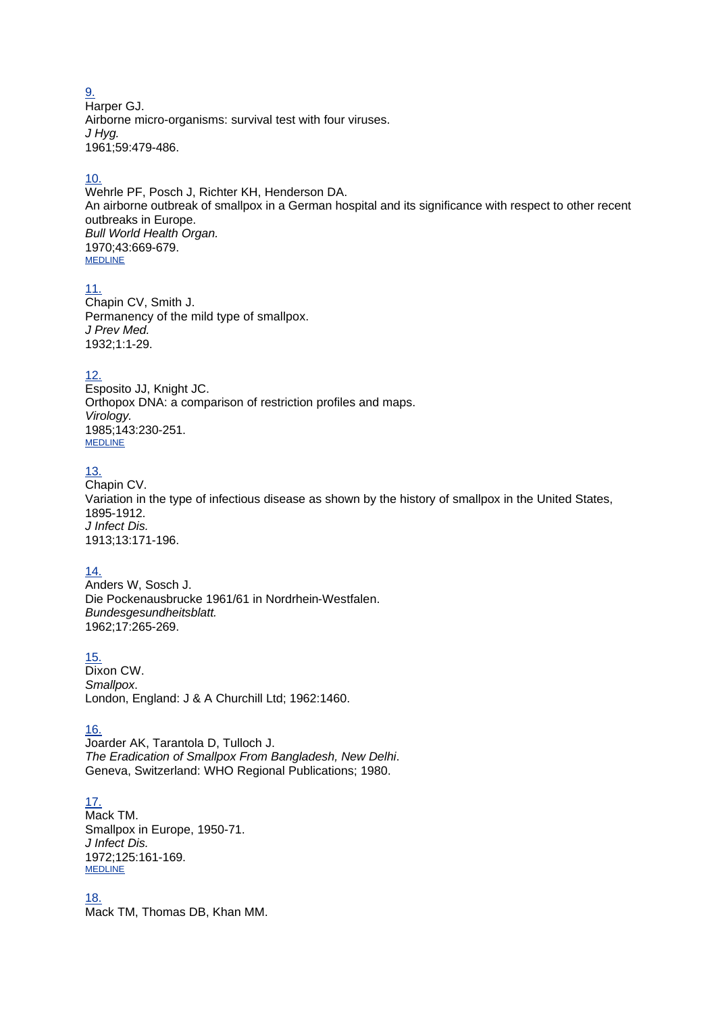9. Harper GJ. Airborne micro-organisms: survival test with four viruses. *J Hyg.* 1961;59:479-486.

#### 10.

Wehrle PF, Posch J, Richter KH, Henderson DA. An airborne outbreak of smallpox in a German hospital and its significance with respect to other recent outbreaks in Europe. *Bull World Health Organ.* 1970;43:669-679. **MEDLINE** 

#### 11.

Chapin CV, Smith J. Permanency of the mild type of smallpox. *J Prev Med.* 1932;1:1-29.

#### 12.

Esposito JJ, Knight JC. Orthopox DNA: a comparison of restriction profiles and maps. *Virology.* 1985;143:230-251. MEDLINE

#### 13.

Chapin CV. Variation in the type of infectious disease as shown by the history of smallpox in the United States, 1895-1912. *J Infect Dis.* 1913;13:171-196.

#### 14.

Anders W, Sosch J. Die Pockenausbrucke 1961/61 in Nordrhein-Westfalen. *Bundesgesundheitsblatt.* 1962;17:265-269.

#### 15.

Dixon CW. *Smallpox*. London, England: J & A Churchill Ltd; 1962:1460.

#### 16.

Joarder AK, Tarantola D, Tulloch J. *The Eradication of Smallpox From Bangladesh, New Delhi*. Geneva, Switzerland: WHO Regional Publications; 1980.

#### 17.

Mack TM. Smallpox in Europe, 1950-71. *J Infect Dis.* 1972;125:161-169. **MEDLINE** 

18. Mack TM, Thomas DB, Khan MM.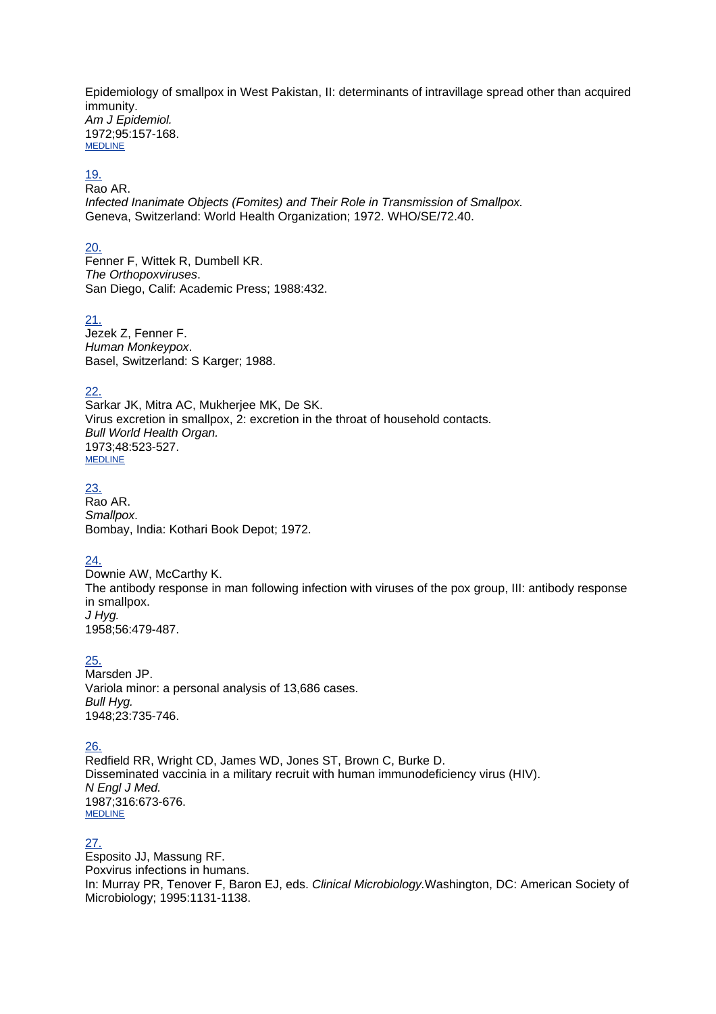Epidemiology of smallpox in West Pakistan, II: determinants of intravillage spread other than acquired immunity. *Am J Epidemiol.* 1972;95:157-168. **MEDLINE** 

# 19.

Rao AR.

*Infected Inanimate Objects (Fomites) and Their Role in Transmission of Smallpox.* Geneva, Switzerland: World Health Organization; 1972. WHO/SE/72.40.

#### 20.

Fenner F, Wittek R, Dumbell KR. *The Orthopoxviruses*. San Diego, Calif: Academic Press; 1988:432.

#### 21.

Jezek Z, Fenner F. *Human Monkeypox*. Basel, Switzerland: S Karger; 1988.

#### 22.

Sarkar JK, Mitra AC, Mukherjee MK, De SK. Virus excretion in smallpox, 2: excretion in the throat of household contacts. *Bull World Health Organ.* 1973;48:523-527. **MEDLINE** 

#### 23.

Rao AR. *Smallpox*. Bombay, India: Kothari Book Depot; 1972.

#### 24.

Downie AW, McCarthy K. The antibody response in man following infection with viruses of the pox group, III: antibody response in smallpox. *J Hyg.* 1958;56:479-487.

#### 25.

Marsden JP. Variola minor: a personal analysis of 13,686 cases. *Bull Hyg.* 1948;23:735-746.

26.

Redfield RR, Wright CD, James WD, Jones ST, Brown C, Burke D. Disseminated vaccinia in a military recruit with human immunodeficiency virus (HIV). *N Engl J Med.* 1987;316:673-676. MEDLINE

#### 27.

Esposito JJ, Massung RF. Poxvirus infections in humans. In: Murray PR, Tenover F, Baron EJ, eds. *Clinical Microbiology.*Washington, DC: American Society of Microbiology; 1995:1131-1138.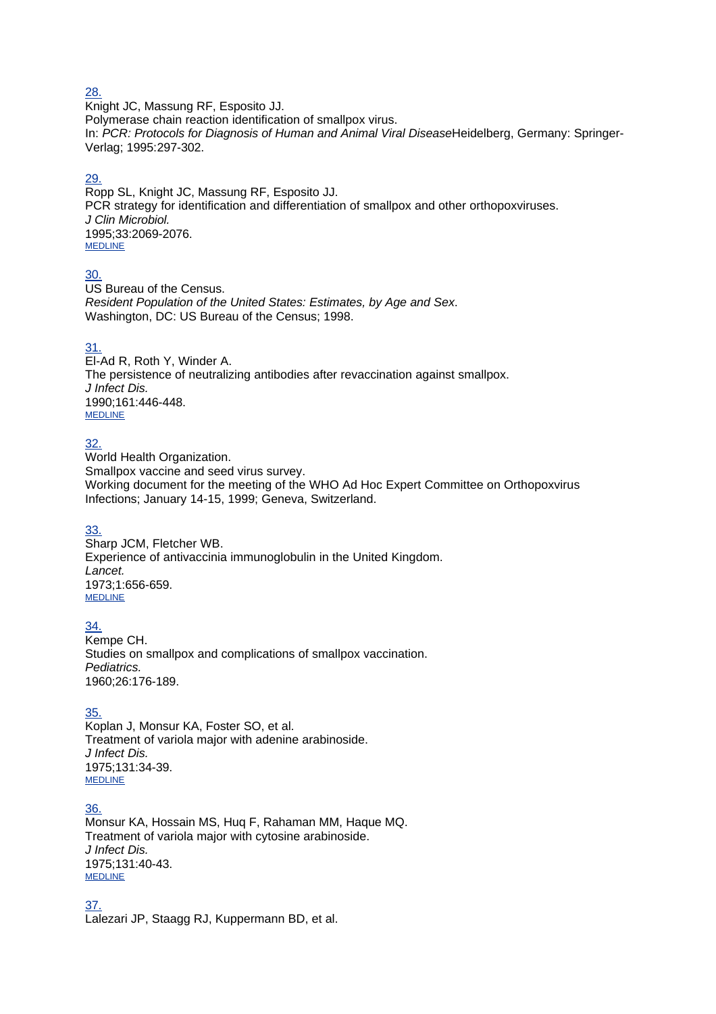#### 28.

Knight JC, Massung RF, Esposito JJ. Polymerase chain reaction identification of smallpox virus. In: *PCR: Protocols for Diagnosis of Human and Animal Viral Disease*Heidelberg, Germany: Springer-Verlag; 1995:297-302.

#### 29.

Ropp SL, Knight JC, Massung RF, Esposito JJ. PCR strategy for identification and differentiation of smallpox and other orthopoxviruses. *J Clin Microbiol.* 1995;33:2069-2076. MEDLINE

## 30.

US Bureau of the Census. *Resident Population of the United States: Estimates, by Age and Sex*. Washington, DC: US Bureau of the Census; 1998.

### 31.

El-Ad R, Roth Y, Winder A. The persistence of neutralizing antibodies after revaccination against smallpox. *J Infect Dis.* 1990;161:446-448. **MEDLINE** 

## 32.

World Health Organization. Smallpox vaccine and seed virus survey. Working document for the meeting of the WHO Ad Hoc Expert Committee on Orthopoxvirus Infections; January 14-15, 1999; Geneva, Switzerland.

#### 33.

Sharp JCM, Fletcher WB. Experience of antivaccinia immunoglobulin in the United Kingdom. *Lancet.* 1973;1:656-659. **MEDLINE** 

#### 34.

Kempe CH. Studies on smallpox and complications of smallpox vaccination. *Pediatrics.* 1960;26:176-189.

#### 35.

Koplan J, Monsur KA, Foster SO, et al. Treatment of variola major with adenine arabinoside. *J Infect Dis.* 1975;131:34-39. **MEDLINE** 

36. Monsur KA, Hossain MS, Huq F, Rahaman MM, Haque MQ. Treatment of variola major with cytosine arabinoside. *J Infect Dis.* 1975;131:40-43. **MEDLINE** 

37. Lalezari JP, Staagg RJ, Kuppermann BD, et al.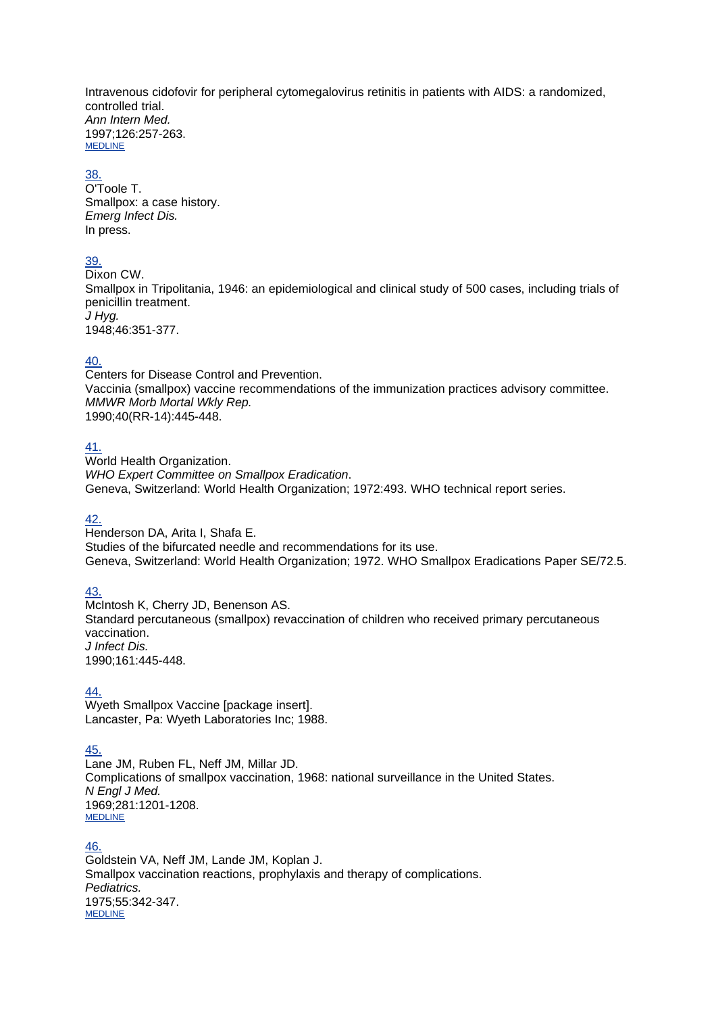Intravenous cidofovir for peripheral cytomegalovirus retinitis in patients with AIDS: a randomized, controlled trial. *Ann Intern Med.* 1997;126:257-263. MEDLINE

#### 38.

O'Toole T. Smallpox: a case history. *Emerg Infect Dis.* In press.

#### 39.

Dixon CW. Smallpox in Tripolitania, 1946: an epidemiological and clinical study of 500 cases, including trials of penicillin treatment. *J Hyg.*

1948;46:351-377.

### 40.

Centers for Disease Control and Prevention. Vaccinia (smallpox) vaccine recommendations of the immunization practices advisory committee. *MMWR Morb Mortal Wkly Rep.* 1990;40(RR-14):445-448.

## 41.

World Health Organization. *WHO Expert Committee on Smallpox Eradication*. Geneva, Switzerland: World Health Organization; 1972:493. WHO technical report series.

## 42.

Henderson DA, Arita I, Shafa E. Studies of the bifurcated needle and recommendations for its use. Geneva, Switzerland: World Health Organization; 1972. WHO Smallpox Eradications Paper SE/72.5.

# 43.

McIntosh K, Cherry JD, Benenson AS. Standard percutaneous (smallpox) revaccination of children who received primary percutaneous vaccination. *J Infect Dis.* 1990;161:445-448.

44.

Wyeth Smallpox Vaccine [package insert]. Lancaster, Pa: Wyeth Laboratories Inc; 1988.

## 45.

Lane JM, Ruben FL, Neff JM, Millar JD. Complications of smallpox vaccination, 1968: national surveillance in the United States. *N Engl J Med.* 1969;281:1201-1208. MEDLINE

46. Goldstein VA, Neff JM, Lande JM, Koplan J. Smallpox vaccination reactions, prophylaxis and therapy of complications. *Pediatrics.* 1975;55:342-347. **MEDLINE**